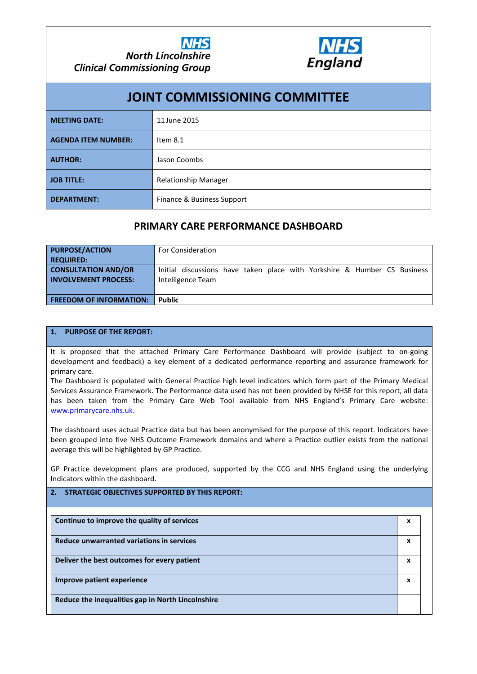

|                            | <b>JOINT COMMISSIONING COMMITTEE</b> |
|----------------------------|--------------------------------------|
| <b>MEETING DATE:</b>       | 11 June 2015                         |
| <b>AGENDA ITEM NUMBER:</b> | Item $8.1$                           |
| <b>AUTHOR:</b>             | Jason Coombs                         |
| <b>JOB TITLE:</b>          | <b>Relationship Manager</b>          |
| <b>DEPARTMENT:</b>         | Finance & Business Support           |

# **PRIMARY CARE PERFORMANCE DASHBOARD**

| <b>PURPOSE/ACTION</b><br><b>REQUIRED:</b>                 | <b>For Consideration</b>                                                                      |
|-----------------------------------------------------------|-----------------------------------------------------------------------------------------------|
| <b>CONSULTATION AND/OR</b><br><b>INVOLVEMENT PROCESS:</b> | Initial discussions have taken place with Yorkshire & Humber CS Business<br>Intelligence Team |
| <b>FREEDOM OF INFORMATION:</b>                            | <b>Public</b>                                                                                 |

## **1. PURPOSE OF THE REPORT:**

It is proposed that the attached Primary Care Performance Dashboard will provide (subject to on-going development and feedback) a key element of a dedicated performance reporting and assurance framework for primary care.

The Dashboard is populated with General Practice high level indicators which form part of the Primary Medical Services Assurance Framework. The Performance data used has not been provided by NHSE for this report, all data [has been taken from t](http://www.primarycare.nhs.uk/)he Primary Care Web Tool available from NHS England's Primary Care website: www.primarycare.nhs.uk.

The dashboard uses actual Practice data but has been anonymised for the purpose of this report. Indicators have been grouped into five NHS Outcome Framework domains and where a Practice outlier exists from the national average this will be highlighted by GP Practice.

GP Practice development plans are produced, supported by the CCG and NHS England using the underlying Indicators within the dashboard.

## **2. STRATEGIC OBJECTIVES SUPPORTED BY THIS REPORT:**

| Continue to improve the quality of services       | x |
|---------------------------------------------------|---|
| Reduce unwarranted variations in services         | x |
| Deliver the best outcomes for every patient       | x |
| Improve patient experience                        | x |
| Reduce the inequalities gap in North Lincolnshire |   |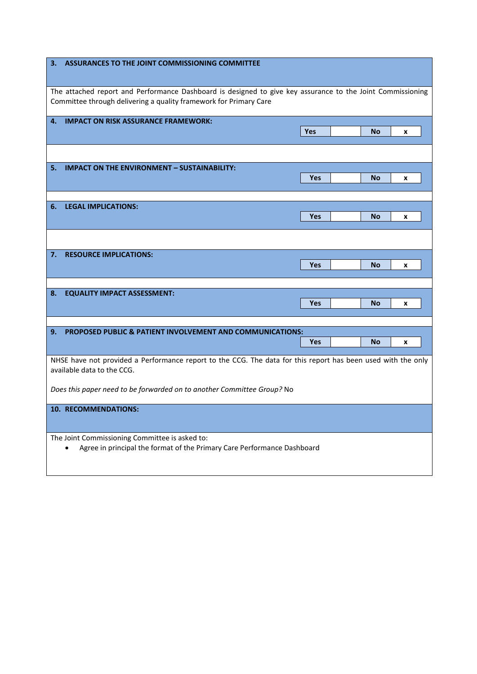| ASSURANCES TO THE JOINT COMMISSIONING COMMITTEE<br>3.                                                                                                                           |                              |
|---------------------------------------------------------------------------------------------------------------------------------------------------------------------------------|------------------------------|
| The attached report and Performance Dashboard is designed to give key assurance to the Joint Commissioning<br>Committee through delivering a quality framework for Primary Care |                              |
| <b>IMPACT ON RISK ASSURANCE FRAMEWORK:</b><br>4.                                                                                                                                | <b>Yes</b><br><b>No</b><br>x |
|                                                                                                                                                                                 |                              |
| <b>IMPACT ON THE ENVIRONMENT - SUSTAINABILITY:</b><br>5.                                                                                                                        | Yes<br><b>No</b><br>X        |
| <b>LEGAL IMPLICATIONS:</b><br>6.                                                                                                                                                |                              |
|                                                                                                                                                                                 | Yes<br><b>No</b><br>x        |
|                                                                                                                                                                                 |                              |
| <b>RESOURCE IMPLICATIONS:</b><br>7.                                                                                                                                             | Yes<br><b>No</b><br>X        |
| <b>EQUALITY IMPACT ASSESSMENT:</b><br>8.                                                                                                                                        | Yes<br><b>No</b><br>x        |
| <b>PROPOSED PUBLIC &amp; PATIENT INVOLVEMENT AND COMMUNICATIONS:</b><br>9.                                                                                                      |                              |
|                                                                                                                                                                                 | Yes<br><b>No</b><br>X        |
| NHSE have not provided a Performance report to the CCG. The data for this report has been used with the only<br>available data to the CCG.                                      |                              |
| Does this paper need to be forwarded on to another Committee Group? No                                                                                                          |                              |
| <b>10. RECOMMENDATIONS:</b>                                                                                                                                                     |                              |
| The Joint Commissioning Committee is asked to:<br>Agree in principal the format of the Primary Care Performance Dashboard                                                       |                              |

L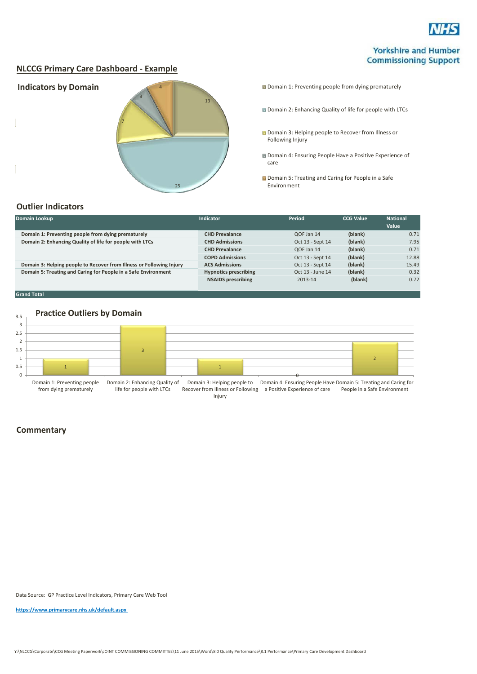

## **Yorkshire and Humber Commissioning Support**

## **NLCCG Primary Care Dashboard - Example**



Domain 2: Enhancing Quality of life for people with LTCs

**Domain 3: Helping people to Recover from Illness or** Following Injury

**Domain 4: Ensuring People Have a Positive Experience of** care

**Domain 5: Treating and Caring for People in a Safe** Environment

## **Outlier Indicators**

| Domain Lookup                                                        | Indicator                    | Period           | <b>CCG Value</b> | <b>National</b><br>Value |
|----------------------------------------------------------------------|------------------------------|------------------|------------------|--------------------------|
| Domain 1: Preventing people from dying prematurely                   | <b>CHD Prevalance</b>        | QOF Jan 14       | (blank)          | 0.71                     |
| Domain 2: Enhancing Quality of life for people with LTCs             | <b>CHD Admissions</b>        | Oct 13 - Sept 14 | (blank)          | 7.95                     |
|                                                                      | <b>CHD Prevalance</b>        | QOF Jan 14       | (blank)          | 0.71                     |
|                                                                      | <b>COPD Admissions</b>       | Oct 13 - Sept 14 | (blank)          | 12.88                    |
| Domain 3: Helping people to Recover from Illness or Following Injury | <b>ACS Admissions</b>        | Oct 13 - Sept 14 | (blank)          | 15.49                    |
| Domain 5: Treating and Caring for People in a Safe Environment       | <b>Hypnotics prescribing</b> | Oct 13 - June 14 | (blank)          | 0.32                     |
|                                                                      | <b>NSAIDS</b> prescribing    | 2013-14          | (blank)          | 0.72                     |

### **Grand Total**

#### 3.5 **Practice Outliers by Domain**



#### Injury

## **Commentary**

Data Source: GP Practice Level Indicators, Primary Care Web Tool

**<https://www.primarycare.nhs.uk/default.aspx>**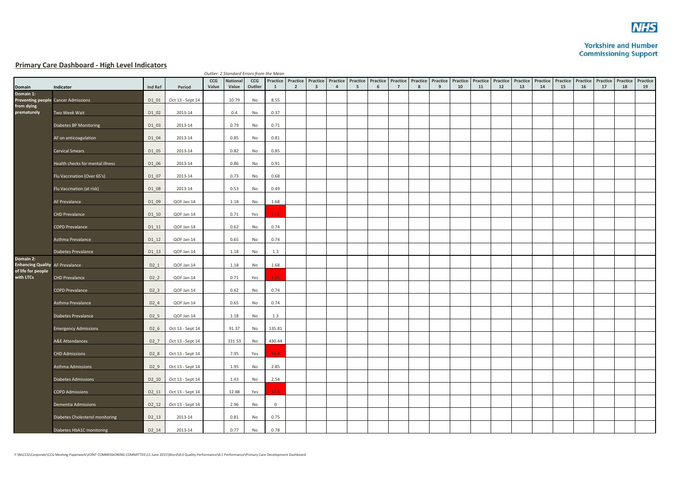

## **Yorkshire and Humber Commissioning Support**

## **Primary Care Dashboard - High Level Indicators**

|                                                     |                                     |                   |                  |       | Outlier: 2 Standard Errors from the Mean |           |                |                |                         |                |    |   |                |   |                                                                                                                      |    |    |    |    |    |                                              |    |    |    |          |
|-----------------------------------------------------|-------------------------------------|-------------------|------------------|-------|------------------------------------------|-----------|----------------|----------------|-------------------------|----------------|----|---|----------------|---|----------------------------------------------------------------------------------------------------------------------|----|----|----|----|----|----------------------------------------------|----|----|----|----------|
|                                                     |                                     |                   |                  | CCG   | <b>National</b>                          | CCG       |                |                |                         |                |    |   |                |   | Practice Practice Practice Practice Practice Practice Practice Practice Practice Practice Practice Practice Practice |    |    |    |    |    | Practice Practice Practice Practice Practice |    |    |    | Practice |
| Domain<br>Domain 1:                                 | Indicator                           | Ind Ref           | Period           | Value | Value                                    | Outlier   | $\mathbf{1}$   | $\overline{2}$ | $\overline{\mathbf{3}}$ | $\overline{a}$ | -5 | 6 | $\overline{7}$ | 8 | 9                                                                                                                    | 10 | 11 | 12 | 13 | 14 | 15                                           | 16 | 17 | 18 | 19       |
|                                                     | Preventing people Cancer Admissions | D1 01             | Oct 13 - Sept 14 |       | 10.79                                    | No        | 8.55           |                |                         |                |    |   |                |   |                                                                                                                      |    |    |    |    |    |                                              |    |    |    |          |
| from dying<br>prematurely                           | Two Week Wait                       | D1 02             | 2013-14          |       | 0.4                                      | No        | 0.37           |                |                         |                |    |   |                |   |                                                                                                                      |    |    |    |    |    |                                              |    |    |    |          |
|                                                     | Diabetes BP Monitoring              | D1_03             | 2013-14          |       | 0.79                                     | No        | 0.71           |                |                         |                |    |   |                |   |                                                                                                                      |    |    |    |    |    |                                              |    |    |    |          |
|                                                     | AF on anticoagulation               | D1 04             | 2013-14          |       | 0.85                                     | No        | 0.81           |                |                         |                |    |   |                |   |                                                                                                                      |    |    |    |    |    |                                              |    |    |    |          |
|                                                     | <b>Cervical Smears</b>              | D1 05             | 2013-14          |       | 0.82                                     | No        | 0.85           |                |                         |                |    |   |                |   |                                                                                                                      |    |    |    |    |    |                                              |    |    |    |          |
|                                                     | Health checks for mental illness    | D1 06             | 2013-14          |       | 0.86                                     | No        | 0.91           |                |                         |                |    |   |                |   |                                                                                                                      |    |    |    |    |    |                                              |    |    |    |          |
|                                                     | Flu Vaccination (Over 65's)         | D1_07             | 2013-14          |       | 0.73                                     | No        | 0.68           |                |                         |                |    |   |                |   |                                                                                                                      |    |    |    |    |    |                                              |    |    |    |          |
|                                                     | Flu Vaccination (at risk)           | D1 08             | 2013-14          |       | 0.53                                     | No        | 0.49           |                |                         |                |    |   |                |   |                                                                                                                      |    |    |    |    |    |                                              |    |    |    |          |
|                                                     | AF Prevalance                       | D1 09             | QOF Jan 14       |       | 1.18                                     | No        | 1.68           |                |                         |                |    |   |                |   |                                                                                                                      |    |    |    |    |    |                                              |    |    |    |          |
|                                                     | <b>CHD Prevalance</b>               | D1 10             | QOF Jan 14       |       | 0.71                                     | Yes       | 1.01           |                |                         |                |    |   |                |   |                                                                                                                      |    |    |    |    |    |                                              |    |    |    |          |
|                                                     | <b>COPD Prevalance</b>              | D1 11             | QOF Jan 14       |       | 0.62                                     | No        | 0.74           |                |                         |                |    |   |                |   |                                                                                                                      |    |    |    |    |    |                                              |    |    |    |          |
|                                                     | Asthma Prevalance                   | D1 12             | QOF Jan 14       |       | 0.65                                     | No        | 0.74           |                |                         |                |    |   |                |   |                                                                                                                      |    |    |    |    |    |                                              |    |    |    |          |
|                                                     | Diabetes Prevalance                 | $D1_13$           | QOF Jan 14       |       | 1.18                                     | No        | 1.3            |                |                         |                |    |   |                |   |                                                                                                                      |    |    |    |    |    |                                              |    |    |    |          |
| Domain 2:<br><b>Enhancing Quality AF Prevalance</b> |                                     | D2 1              | QOF Jan 14       |       | 1.18                                     | No        | 1.68           |                |                         |                |    |   |                |   |                                                                                                                      |    |    |    |    |    |                                              |    |    |    |          |
| of life for people<br>with LTCs                     | CHD Prevalance                      | D2 2              | QOF Jan 14       |       | 0.71                                     | Yes       | 1.01           |                |                         |                |    |   |                |   |                                                                                                                      |    |    |    |    |    |                                              |    |    |    |          |
|                                                     | <b>COPD Prevalance</b>              | $D2_3$            | QOF Jan 14       |       | 0.62                                     | No        | 0.74           |                |                         |                |    |   |                |   |                                                                                                                      |    |    |    |    |    |                                              |    |    |    |          |
|                                                     | Asthma Prevalance                   | D2 4              | QOF Jan 14       |       | 0.65                                     | No        | 0.74           |                |                         |                |    |   |                |   |                                                                                                                      |    |    |    |    |    |                                              |    |    |    |          |
|                                                     | Diabetes Prevalance                 | D <sub>2</sub> 5  | QOF Jan 14       |       | 1.18                                     | No        | 1.3            |                |                         |                |    |   |                |   |                                                                                                                      |    |    |    |    |    |                                              |    |    |    |          |
|                                                     | <b>Emergency Admissions</b>         | D2 6              | Oct 13 - Sept 14 |       | 91.37                                    | No        | 135.81         |                |                         |                |    |   |                |   |                                                                                                                      |    |    |    |    |    |                                              |    |    |    |          |
|                                                     | A&E Attendances                     | $D2_7$            | Oct 13 - Sept 14 |       | 331.53                                   | No        | 430.44         |                |                         |                |    |   |                |   |                                                                                                                      |    |    |    |    |    |                                              |    |    |    |          |
|                                                     | <b>CHD Admissions</b>               | D2 8              | Oct 13 - Sept 14 |       | 7.95                                     | Yes       | 16.4           |                |                         |                |    |   |                |   |                                                                                                                      |    |    |    |    |    |                                              |    |    |    |          |
|                                                     | Asthma Admissions                   | D2 9              | Oct 13 - Sept 14 |       | 1.95                                     | No        | 2.85           |                |                         |                |    |   |                |   |                                                                                                                      |    |    |    |    |    |                                              |    |    |    |          |
|                                                     | <b>Diabetes Admissions</b>          | D2 10             | Oct 13 - Sept 14 |       | 1.43                                     | No        | 2.54           |                |                         |                |    |   |                |   |                                                                                                                      |    |    |    |    |    |                                              |    |    |    |          |
|                                                     | <b>COPD Admissions</b>              | D <sub>2_11</sub> | Oct 13 - Sept 14 |       | 12.88                                    | Yes       | 32.8           |                |                         |                |    |   |                |   |                                                                                                                      |    |    |    |    |    |                                              |    |    |    |          |
|                                                     | Dementia Admissions                 | D2 12             | Oct 13 - Sept 14 |       | 2.96                                     | No        | $\overline{0}$ |                |                         |                |    |   |                |   |                                                                                                                      |    |    |    |    |    |                                              |    |    |    |          |
|                                                     | Diabetes Cholesterol monitoring     | D2 13             | 2013-14          |       | 0.81                                     | No        | 0.75           |                |                         |                |    |   |                |   |                                                                                                                      |    |    |    |    |    |                                              |    |    |    |          |
|                                                     | Diabetes HbA1C monitoring           | D2 14             | 2013-14          |       | 0.77                                     | <b>No</b> | 0.78           |                |                         |                |    |   |                |   |                                                                                                                      |    |    |    |    |    |                                              |    |    |    |          |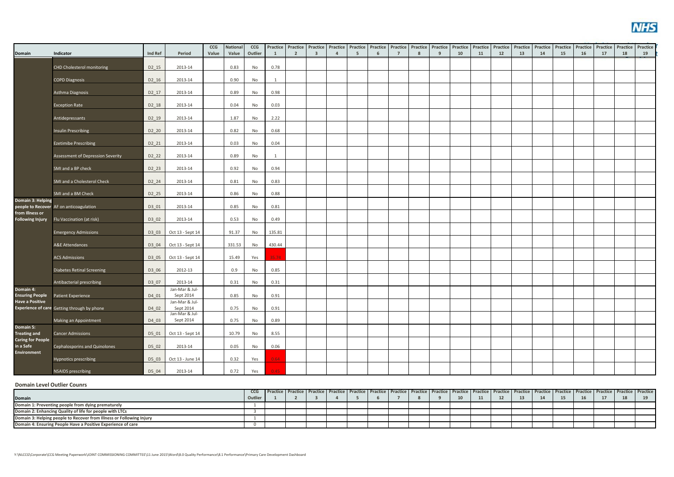

|                                                  |                                             |                   |                             | CCG<br>Value | <b>National</b><br>Value | CCG<br>Outlier |                | Practice Practice Practice<br>$\overline{2}$ |                         | $\overline{4}$ | <b>Practice Practice</b> | Practice | Practice<br>$\overline{7}$ | Practice | Practice<br>9 | <b>Practice Practice</b><br>10 |    | <b>Practice</b><br>12 | Practice | Practice<br>14 | Practice | Practice | Practice<br>17 | Practice<br>18 | Practice |
|--------------------------------------------------|---------------------------------------------|-------------------|-----------------------------|--------------|--------------------------|----------------|----------------|----------------------------------------------|-------------------------|----------------|--------------------------|----------|----------------------------|----------|---------------|--------------------------------|----|-----------------------|----------|----------------|----------|----------|----------------|----------------|----------|
| Domain                                           | Indicator                                   | Ind Ref           | Period                      |              |                          |                | 1              |                                              | $\overline{\mathbf{3}}$ |                | - 5                      | - 6      |                            | -8       |               |                                | 11 |                       | 13       |                | 15       | 16       |                |                | 19       |
|                                                  | CHD Cholesterol monitoring                  | D2 15             | 2013-14                     |              | 0.83                     | No             | 0.78           |                                              |                         |                |                          |          |                            |          |               |                                |    |                       |          |                |          |          |                |                |          |
|                                                  | <b>COPD Diagnosis</b>                       | D2 16             | 2013-14                     |              | 0.90                     | No             | $\overline{1}$ |                                              |                         |                |                          |          |                            |          |               |                                |    |                       |          |                |          |          |                |                |          |
|                                                  |                                             |                   |                             |              |                          |                |                |                                              |                         |                |                          |          |                            |          |               |                                |    |                       |          |                |          |          |                |                |          |
|                                                  | Asthma Diagnosis                            | D2 17             | 2013-14                     |              | 0.89                     | No             | 0.98           |                                              |                         |                |                          |          |                            |          |               |                                |    |                       |          |                |          |          |                |                |          |
|                                                  | <b>Exception Rate</b>                       | D2 18             | 2013-14                     |              | 0.04                     | No             | 0.03           |                                              |                         |                |                          |          |                            |          |               |                                |    |                       |          |                |          |          |                |                |          |
|                                                  | Antidepressants                             | D2 19             | 2013-14                     |              | 1.87                     | No             | 2.22           |                                              |                         |                |                          |          |                            |          |               |                                |    |                       |          |                |          |          |                |                |          |
|                                                  |                                             |                   |                             |              |                          |                |                |                                              |                         |                |                          |          |                            |          |               |                                |    |                       |          |                |          |          |                |                |          |
|                                                  | <b>Insulin Prescribing</b>                  | D2 20             | 2013-14                     |              | 0.82                     | No             | 0.68           |                                              |                         |                |                          |          |                            |          |               |                                |    |                       |          |                |          |          |                |                |          |
|                                                  | <b>Ezetimibe Prescribing</b>                | D <sub>2_21</sub> | 2013-14                     |              | 0.03                     | No             | 0.04           |                                              |                         |                |                          |          |                            |          |               |                                |    |                       |          |                |          |          |                |                |          |
|                                                  | Assessment of Depression Severity           | D2 22             | 2013-14                     |              | 0.89                     | No             | 1              |                                              |                         |                |                          |          |                            |          |               |                                |    |                       |          |                |          |          |                |                |          |
|                                                  | SMI and a BP check                          | D2 23             | 2013-14                     |              | 0.92                     | No             | 0.94           |                                              |                         |                |                          |          |                            |          |               |                                |    |                       |          |                |          |          |                |                |          |
|                                                  |                                             |                   |                             |              |                          |                |                |                                              |                         |                |                          |          |                            |          |               |                                |    |                       |          |                |          |          |                |                |          |
|                                                  | SMI and a Cholesterol Check                 | D2 24             | 2013-14                     |              | 0.81                     | No             | 0.83           |                                              |                         |                |                          |          |                            |          |               |                                |    |                       |          |                |          |          |                |                |          |
|                                                  | SMI and a BM Check                          | D2 25             | 2013-14                     |              | 0.86                     | No             | 0.88           |                                              |                         |                |                          |          |                            |          |               |                                |    |                       |          |                |          |          |                |                |          |
| Domain 3: Helping                                | people to Recover AF on anticoagulation     | D3 01             | 2013-14                     |              | 0.85                     | No             | 0.81           |                                              |                         |                |                          |          |                            |          |               |                                |    |                       |          |                |          |          |                |                |          |
| from Illness or                                  |                                             |                   |                             |              |                          |                |                |                                              |                         |                |                          |          |                            |          |               |                                |    |                       |          |                |          |          |                |                |          |
| <b>Following Injury</b>                          | Flu Vaccination (at risk)                   | D3 02             | 2013-14                     |              | 0.53                     | No             | 0.49           |                                              |                         |                |                          |          |                            |          |               |                                |    |                       |          |                |          |          |                |                |          |
|                                                  | <b>Emergency Admissions</b>                 | D3 03             | Oct 13 - Sept 14            |              | 91.37                    | No             | 135.81         |                                              |                         |                |                          |          |                            |          |               |                                |    |                       |          |                |          |          |                |                |          |
|                                                  | A&E Attendances                             | D3 04             | Oct 13 - Sept 14            |              | 331.53                   | No             | 430.44         |                                              |                         |                |                          |          |                            |          |               |                                |    |                       |          |                |          |          |                |                |          |
|                                                  |                                             |                   |                             |              |                          |                |                |                                              |                         |                |                          |          |                            |          |               |                                |    |                       |          |                |          |          |                |                |          |
|                                                  | <b>ACS Admissions</b>                       | D3 05             | Oct 13 - Sept 14            |              | 15.49                    | Yes            | 35.74          |                                              |                         |                |                          |          |                            |          |               |                                |    |                       |          |                |          |          |                |                |          |
|                                                  | <b>Diabetes Retinal Screening</b>           | D3 06             | 2012-13                     |              | 0.9                      | No             | 0.85           |                                              |                         |                |                          |          |                            |          |               |                                |    |                       |          |                |          |          |                |                |          |
|                                                  | Antibacterial prescribing                   | D3 07             | 2013-14                     |              | 0.31                     | No             | 0.31           |                                              |                         |                |                          |          |                            |          |               |                                |    |                       |          |                |          |          |                |                |          |
| Domain 4:                                        |                                             |                   | Jan-Mar & Jul-              |              |                          |                |                |                                              |                         |                |                          |          |                            |          |               |                                |    |                       |          |                |          |          |                |                |          |
| <b>Ensuring People</b><br><b>Have a Positive</b> | Patient Experience                          | D4 01             | Sept 2014<br>Jan-Mar & Jul- |              | 0.85                     | No             | 0.91           |                                              |                         |                |                          |          |                            |          |               |                                |    |                       |          |                |          |          |                |                |          |
|                                                  | Experience of care Getting through by phone | D4 02             | Sept 2014<br>Jan-Mar & Jul- |              | 0.75                     | No             | 0.91           |                                              |                         |                |                          |          |                            |          |               |                                |    |                       |          |                |          |          |                |                |          |
|                                                  | Making an Appointment                       | D4 03             | Sept 2014                   |              | 0.75                     | No             | 0.89           |                                              |                         |                |                          |          |                            |          |               |                                |    |                       |          |                |          |          |                |                |          |
| Domain 5:                                        |                                             |                   |                             |              |                          |                |                |                                              |                         |                |                          |          |                            |          |               |                                |    |                       |          |                |          |          |                |                |          |
| <b>Treating and</b><br><b>Caring for People</b>  | <b>Cancer Admissions</b>                    | D5 01             | Oct 13 - Sept 14            |              | 10.79                    | No             | 8.55           |                                              |                         |                |                          |          |                            |          |               |                                |    |                       |          |                |          |          |                |                |          |
| in a Safe<br><b>Environment</b>                  | Cephalosporins and Quinolones               | D5 02             | 2013-14                     |              | 0.05                     | No             | 0.06           |                                              |                         |                |                          |          |                            |          |               |                                |    |                       |          |                |          |          |                |                |          |
|                                                  | <b>Hypnotics prescribing</b>                | D5 03             | Oct 13 - June 14            |              | 0.32                     | Yes            | 0.64           |                                              |                         |                |                          |          |                            |          |               |                                |    |                       |          |                |          |          |                |                |          |
|                                                  | <b>NSAIDS</b> prescribing                   | D5 04             | 2013-14                     |              | 0.72                     | Yes            | 0.45           |                                              |                         |                |                          |          |                            |          |               |                                |    |                       |          |                |          |          |                |                |          |

#### **Domain Level Outlier Counrs**

|                                                                      | ccG     |  |  |  |  |  |  |  |  |  | Practice   Practice   Practice   Practice   Practice   Practice   Practice   Practice   Practice   Practice   Practice   Practice   Practice   Practice   Practice   Practice   Practice   Practice   Practice   Practice   Pr |
|----------------------------------------------------------------------|---------|--|--|--|--|--|--|--|--|--|--------------------------------------------------------------------------------------------------------------------------------------------------------------------------------------------------------------------------------|
| <b>Domain</b>                                                        | Outlier |  |  |  |  |  |  |  |  |  |                                                                                                                                                                                                                                |
| Domain 1: Preventing people from dying prematurely                   |         |  |  |  |  |  |  |  |  |  |                                                                                                                                                                                                                                |
| Domain 2: Enhancing Quality of life for people with LTCs             |         |  |  |  |  |  |  |  |  |  |                                                                                                                                                                                                                                |
| Domain 3: Helping people to Recover from Illness or Following Injury |         |  |  |  |  |  |  |  |  |  |                                                                                                                                                                                                                                |
| Domain 4: Ensuring People Have a Positive Experience of care         |         |  |  |  |  |  |  |  |  |  |                                                                                                                                                                                                                                |